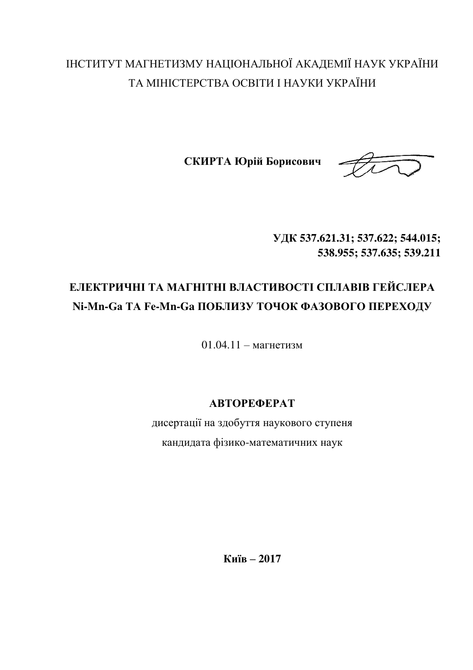# ІНСТИТУТ МАГНЕТИЗМУ НАЦІОНАЛЬНОЇ АКАДЕМІЇ НАУК УКРАЇНИ ТА МІНІСТЕРСТВА ОСВІТИ І НАУКИ УКРАЇНИ

СКИРТА **Юрій Борисович** 



**ɍȾɄ 537.621.31; 537.622; 544.015; 538.955; 537.635; 539.211**

# ЕЛЕКТРИЧНІ ТА МАГНІТНІ ВЛАСТИВОСТІ СПЛАВІВ ГЕЙСЛЕРА Ni-Mn-Ga TA Fe-Mn-Ga ПОБЛИЗУ ТОЧОК ФАЗОВОГО ПЕРЕХОДУ

 $01.04.11 - \text{Martter}$ изм

# **ȺȼɌɈɊȿɎȿɊȺɌ**

дисертації на здобуття наукового ступеня кандидата фізико-математичних наук

**Ʉɢʀɜ – 2017**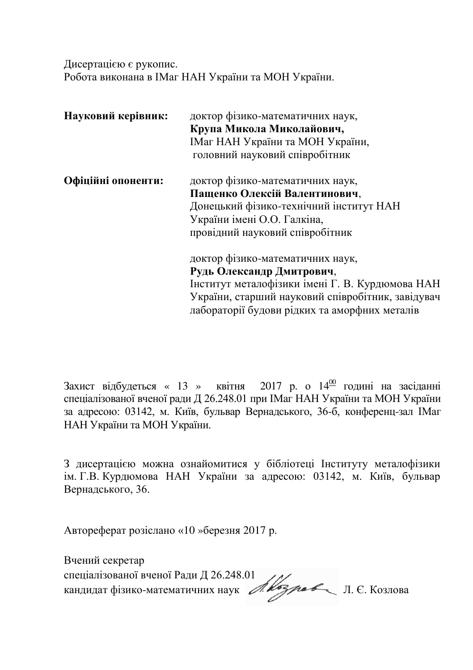Дисертацією є рукопис. Робота виконана в IMar НАН України та МОН України.

| Науковий керівник: | доктор фізико-математичних наук,                  |
|--------------------|---------------------------------------------------|
|                    | Крупа Микола Миколайович,                         |
|                    | IMar НАН України та МОН України,                  |
|                    | головний науковий співробітник                    |
| Офіційні опоненти: | доктор фізико-математичних наук,                  |
|                    | Пащенко Олексій Валентинович,                     |
|                    | Донецький фізико-технічний інститут НАН           |
|                    | України імені О.О. Галкіна,                       |
|                    | провідний науковий співробітник                   |
|                    | доктор фізико-математичних наук,                  |
|                    | Рудь Олександр Дмитрович,                         |
|                    | Інститут металофізики імені Г. В. Курдюмова НАН   |
|                    | України, старший науковий співробітник, завідувач |
|                    | лабораторії будови рідких та аморфних металів     |

Захист відбудеться « 13 » квітня 2017 р. о  $14^{\underline{00}}$  годині на засіданні спеціалізованої вченої ради Д 26.248.01 при ІМаг НАН України та МОН України за адресою: 03142, м. Київ, бульвар Вернадського, 36-б, конференц-зал ІМаг НАН України та МОН України.

З дисертацією можна ознайомитися у бібліотеці Інституту металофізики ім. Г.В. Курдюмова НАН України за адресою: 03142, м. Київ, бульвар Вернадського, 36.

Автореферат розіслано «10 »березня 2017 р.

Вчений секретар спеціалізованої вченої Ради Д 26.248.01 кандидат фізико-математичних наук А. Узреб Л. Є. Козлова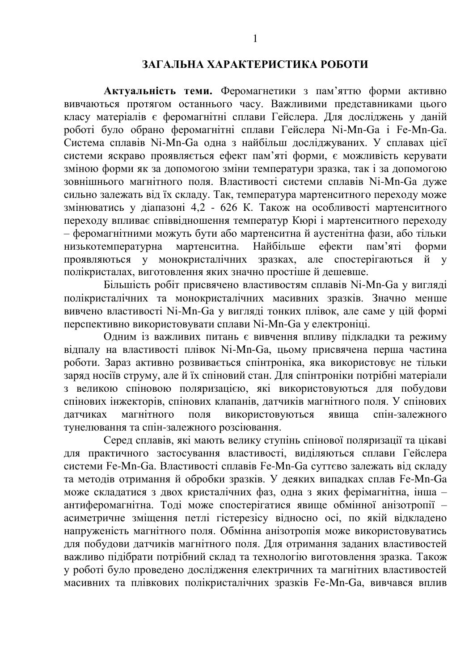### ЗАГАЛЬНА ХАРАКТЕРИСТИКА РОБОТИ

Актуальність теми. Феромагнетики з пам'яттю форми активно вивчаються протягом останнього часу. Важливими представниками пього класу матеріалів є феромагнітні сплави Гейслера. Для досліджень у даній роботі було обрано феромагнітні сплави Гейслера Ni-Mn-Ga і Fe-Mn-Ga. Система сплавів Ni-Mn-Ga одна з найбільш досліджуваних. У сплавах цієї системи яскраво проявляється ефект пам'яті форми, є можливість керувати зміною форми як за допомогою зміни температури зразка, так і за допомогою зовнішнього магнітного поля. Властивості системи сплавів Ni-Mn-Ga дуже сильно залежать від їх складу. Так, температура мартенситного переходу може змінюватись у діапазоні 4,2 - 626 К. Також на особливості мартенситного переходу впливає співвідношення температур Кюрі і мартенситного переходу – феромагнітними можуть бути або мартенситна й аустенітна фази, або тільки<br>низькотемпературна мартенситна. Найбільше ефекти пам'яті форми низькотемпературна мартенситна. Найбільше ефекти пам'яті форми проявляються у монокристалічних зразках, але спостерігаються й у полікристалах, виготовлення яких значно простіше й дешевше.

Більшість робіт присвячено властивостям сплавів Ni-Mn-Ga у вигляді полікристалічних та монокристалічних масивних зразків. Значно менше вивчено властивості Ni-Mn-Ga у вигляді тонких плівок, але саме у цій формі перспективно використовувати сплави Ni-Mn-Ga у електроніці.

Олним із важливих питань є вивчення впливу пілклалки та режиму відпалу на властивості плівок Ni-Mn-Ga, цьому присвячена перша частина роботи. Зараз активно розвивається спінтроніка, яка використовує не тільки заряд носіїв струму, але й їх спіновий стан. Для спінтроніки потрібні матеріали з великою спіновою поляризацією, які використовуються для побудови спінових інжекторів, спінових клапанів, датчиків магнітного поля. У спінових датчиках магнітного поля використовуються явиша спін-залежного тунелювання та спін-залежного розсіювання.

Серед сплавів, які мають велику ступінь спінової поляризації та цікаві для практичного застосування властивості, виліляються сплави Гейслера системи Fe-Mn-Ga. Властивості сплавів Fe-Mn-Ga суттєво залежать від складу та методів отримання й обробки зразків. У деяких випадках сплав Fe-Mn-Ga може складатися з двох кристалічних фаз. одна з яких ферімагнітна, інша – антиферомагнітна. Тоді може спостерігатися явище обмінної анізотропії асиметричне зміщення петлі гістерезісу відносно осі, по якій відкладено напруженість магнітного поля. Обмінна анізотропія може використовуватись для побудови датчиків магнітного поля. Для отримання заданих властивостей важливо підібрати потрібний склад та технологію виготовлення зразка. Також у роботі було проведено дослідження електричних та магнітних властивостей масивних та плівкових полікристалічних зразків Fe-Mn-Ga, вивчався вплив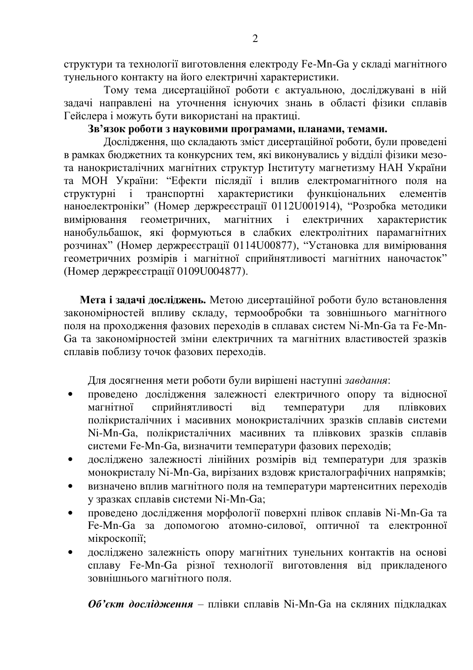структури та технології виготовлення електроду Fe-Mn-Ga у складі магнітного ТУНЕЛЬНОГО КОНТАКТУ НА ЙОГО ЕЛЕКТРИЧНІ ХАРАКТЕРИСТИКИ.

Тому тема дисертаційної роботи є актуальною, досліджувані в ній задачі направлені на уточнення існуючих знань в області фізики сплавів Гейслера і можуть бути використані на практиці.

## Зв'язок роботи з науковими програмами, планами, темами.

Дослідження, що складають зміст дисертаційної роботи, були проведені в рамках бюджетних та конкурсних тем, які виконувались у відділі фізики мезота нанокристалічних магнітних структур Інституту магнетизму НАН України та МОН України: "Ефекти післядії і вплив електромагнітного поля на структурні і транспортні характеристики функціональних елементів наноелектроніки" (Номер держреєстрації 0112U001914), "Розробка методики вимірювання геометричних, магнітних і електричних характеристик нанобульбашок, які формуються в слабких електролітних парамагнітних розчинах" (Номер держреєстрації 0114U00877), "Установка для вимірювання **• ГЕОМЕТРИЧНИХ РОЗМІРІВ 1 МАГНІТНОЇ СПРИЙНЯТЛИВОСТІ МАГНІТНИХ НАНОЧАСТОК** (Номер держре страції 0109U004877).

Мета і задачі досліджень. Метою дисертаційної роботи було встановлення закономірностей впливу складу, термообробки та зовнішнього магнітного поля на проходження фазових переходів в сплавах систем Ni-Mn-Ga та Fe-Mn-Ga та закономірностей зміни електричних та магнітних властивостей зразків сплавів поблизу точок фазових переходів.

Для досягнення мети роботи були вирішені наступні завдання:

- проведено дослідження залежності електричного опору та відносної<br>магнітної сприйнятливості віл температури лля плівкових магнітної сприйнятливості віл температури для плівкових полікристалічних і масивних монокристалічних зразків сплавів системи Ni-Mn-Ga, полікристалічних масивних та плівкових зразків сплавів системи Fe-Mn-Ga, визначити температури фазових переходів;
- досліджено залежності лінійних розмірів від температури для зразків монокристалу Ni-Mn-Ga, вирізаних вздовж кристалографічних напрямків;
- визначено вплив магнітного поля на температури мартенситних переходів у зразках сплавів системи Ni-Mn-Ga;
- проведено дослідження морфології поверхні плівок сплавів Ni-Mn-Ga та Fe-Mn-Ga за допомогою атомно-силової, оптичної та електронної мікроскопії;
- досліджено залежність опору магнітних тунельних контактів на основі сплаву Fe-Mn-Ga різної технології виготовлення від прикладеного  $3$ ОВН $\overline{1}$ ШНЬОГО МАГНІТНОГО ПОЛЯ

**Об'єкт дослідження** – плівки сплавів Ni-Mn-Ga на скляних підкладках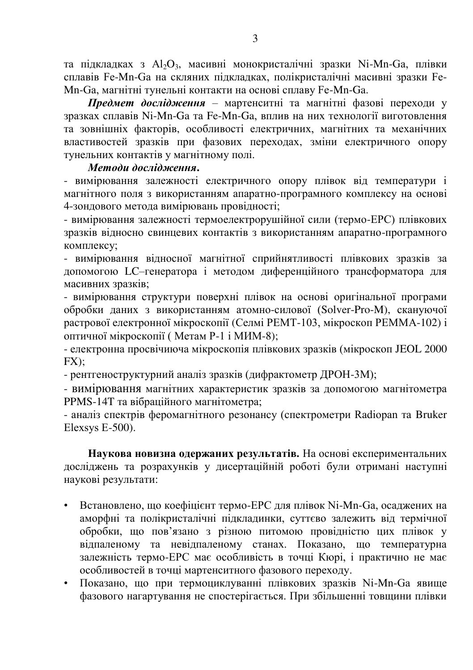та підкладках з Al<sub>2</sub>O<sub>3</sub>, масивні монокристалічні зразки Ni-Mn-Ga, плівки сплавів Fe-Mn-Ga на скляних пілклалках, полікристалічні масивні зразки Fe-Mn-Ga, магнітні тунельні контакти на основі сплаву Fe-Mn-Ga.

**Предмет дослідження** – мартенситні та магнітні фазові переходи у зразках сплавів Ni-Mn-Ga та Fe-Mn-Ga, вплив на них технології виготовлення та зовнішніх факторів, особливості електричних, магнітних та механічних властивостей зразків при фазових переходах, зміни електричного опору тунельних контактів у магнітному полі.

#### Методи дослідження.

- вимірювання залежності електричного опору плівок від температури і магнітного поля з використанням апаратно-програмного комплексу на основі 4-зондового метода вимірювань провідності;

- вимірювання залежності термоелектрорушійної сили (термо-ЕРС) плівкових зразків відносно свинцевих контактів з використанням апаратно-програмного комплексу;

- вимірювання відносної магнітної сприйнятливості плівкових зразків за допомогою LC–генератора і методом диференційного трансформатора для масивних зразків;

- вимірювання структури поверхні плівок на основі оригінальної програми обробки даних з використанням атомно-силової (Solver-Pro-M), скануючої растрової електронної мікроскопії (Селмі РЕМТ-103, мікроскоп РЕММА-102) і оптичної мікроскопії (Метам P-1 і МИМ-8);

- електронна просвічиюча мікроскопія плівкових зразків (мікроскоп JEOL 2000 FX);

- рентгеноструктурний аналіз зразків (дифрактометр ДРОН-3М);

- вимірювання магнітних характеристик зразків за допомогою магнітометра PPMS-14T та вібраційного магнітометра:

- аналіз спектрів феромагнітного резонансу (спектрометри Radiopan та Bruker Elexsys E-500).

Наукова новизна одержаних результатів. На основі експериментальних досліджень та розрахунків у дисертаційній роботі були отримані наступні наукові результати:

- Встановлено, що коефіцієнт термо-ЕРС для плівок Ni-Mn-Ga, осаджених на аморфні та полікристалічні підкладинки, суттєво залежить від термічної обробки, що пов'язано з різною питомою провідністю цих плівок у відпаленому та невідпаленому станах. Показано, що температурна залежність термо-ЕРС має особливість в точці Кюрі, і практично не має особливостей в точці мартенситного фазового переходу.
- Показано, що при термоциклуванні плівкових зразків Ni-Mn-Ga явище фазового нагартування не спостерігається. При збільшенні товщини плівки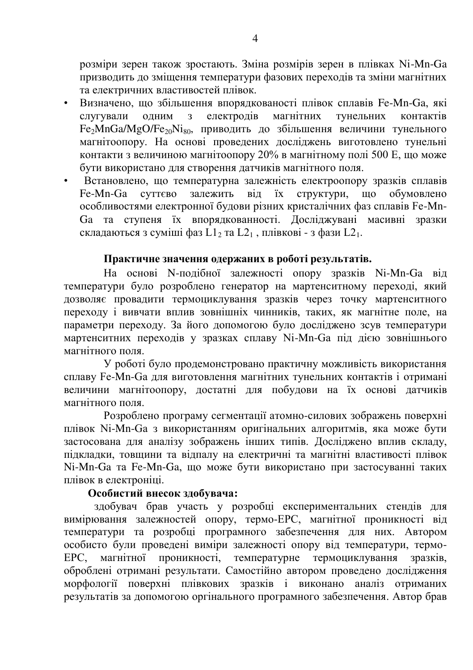розміри зерен також зростають. Зміна розмірів зерен в плівках Ni-Mn-Ga призводить до змішення температури фазових переходів та зміни магнітних та електричних властивостей плівок.

- Визначено, що збільшення впорядкованості плівок сплавів Fe-Mn-Ga, які слугували одним з електродів магнітних тунельних контактів  $Fe<sub>2</sub>MnGa/MgO/Fe<sub>20</sub>Ni<sub>80</sub>$ , приводить до збільшення величини тунельного магнітоопору. На основі проведених досліджень виготовлено тунельні контакти з величиною магнітоопору 20% в магнітному полі 500 Е, що може бути використано для створення датчиків магнітного поля.
- Встановлено, що температурна залежність електроопору зразків сплавів<br>Fe-Mn-Ga суттєво залежить від їх структури, що обумовлено Fe-Mn-Ga суттєво залежить від їх структури, що обумовлено особливостями електронної будови різних кристалічних фаз сплавів Fe-Mn-Ga та ступеня їх впорядкованності. Досліджувані масивні зразки складаються з суміші фаз  $L1_2$  та  $L2_1$ , плівкові - з фази  $L2_1$ .

## Практичне значення одержаних в роботі результатів.

На основі N-подібної залежності опору зразків Ni-Mn-Ga від температури було розроблено генератор на мартенситному переході, який дозволяє провадити термоциклування зразків через точку мартенситного перехолу і вивчати вплив зовнішніх чинників, таких, як магнітне поле, на параметри переходу. За його допомогою було досліджено зсув температури мартенситних переходів у зразках сплаву Ni-Mn-Ga під дією зовнішнього магнітного поля.

У роботі було продемонстровано практичну можливість використання сплаву Fe-Mn-Ga для виготовлення магнітних тунельних контактів і отримані величини магнітоопору, достатні для побудови на їх основі датчиків магнітного поля.

Розроблено програму сегментації атомно-силових зображень поверхні плівок Ni-Mn-Ga з використанням оригінальних алгоритмів, яка може бути застосована для аналізу зображень інших типів. Досліджено вплив складу, підкладки, товщини та відпалу на електричні та магнітні властивості плівок Ni-Mn-Ga та Fe-Mn-Ga, що може бути використано при застосуванні таких плівок в електроніці.

# Особистий внесок здобувача:

здобувач брав участь у розробці експериментальних стендів для вимірювання залежностей опору, термо-ЕРС, магнітної проникності від температури та розробці програмного забезпечення для них. Автором особисто були проведені виміри залежності опору від температури, термо-ЕРС, магнітної проникності, температурне термоциклування зразків, оброблені отримані результати. Самостійно автором проведено дослідження морфології поверхні плівкових зразків і виконано аналіз отриманих **везультатів за допомогою оргінального програмного забезпечення. Автор брав**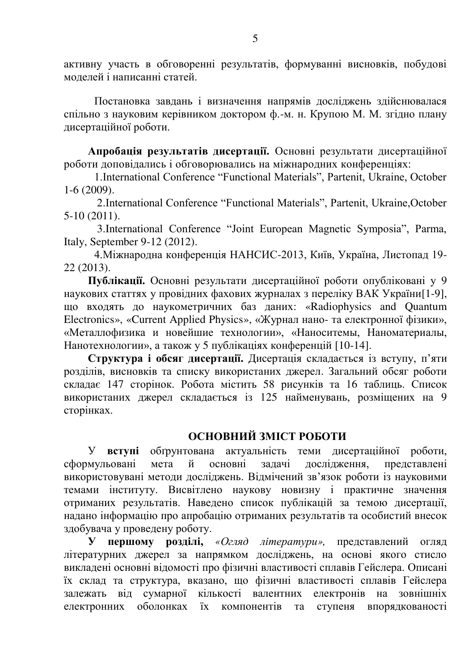активну участь в обговоренні результатів, формуванні висновків, побудові молелей і написанні статей.

Постановка завдань і визначення напрямів досліджень здійснювалася спільно з науковим керівником доктором ф.-м. н. Крупою М. М. згілно плану дисертаційної роботи.

Апробація результатів лисертації. Основні результати лисертаційної роботи доповідались і обговорювались на міжнародних конференціях:

1.International Conference "Functional Materials", Partenit, Ukraine, October 1-6 (2009).

2.International Conference "Functional Materials", Partenit, Ukraine,October 5-10 (2011).

 3.International Conference "Joint European Magnetic Symposia", Parma, Italy, September 9-12 (2012).

4. Міжнародна конференція НАНСИС-2013, Київ, Україна, Листопад 19-22 (2013).

Публікації. Основні результати дисертаційної роботи опубліковані у 9 наукових статтях у провідних фахових журналах з переліку ВАК України [1-9], що входять до наукометричних баз даних: «Radiophysics and Quantum Electronics», «Current Applied Physics», «Журнал нано- та електронної фізики», «Металлофизика и новейшие технологии», «Наноситемы, Наноматериалы, Нанотехнологии», а також у 5 публікаціях конференцій [10-14].

Структура і обсяг дисертації. Дисертація складається із вступу, п'яти розділів, висновків та списку використаних джерел. Загальний обсяг роботи складає 147 сторінок. Робота містить 58 рисунків та 16 таблиць. Список використаних джерел складається із 125 найменувань, розміщених на 9 сторінках.

# **ОСНОВНИЙ ЗМІСТ РОБОТИ**

У **вступі** обтрунтована актуальність теми дисертаційної роботи,<br>мульовані мета й основні залачі лослілження, представлені сформульовані мета й основні задачі дослідження, представлені використовувані методи досліджень. Відмічений зв'язок роботи із науковими темами інституту. Висвітлено наукову новизну і практичне значення отриманих результатів. Наведено список публікацій за темою дисертації, надано інформацію про апробацію отриманих результатів та особистий внесок здобувача у проведену роботу.

**У першому розділі,** «Огляд літератури», представлений огляд літературних лжерел за напрямком лосліджень, на основі якого стисло викладені основні відомості про фізичні властивості сплавів Гейслера. Описані їх склад та структура, вказано, що фізичні властивості сплавів Гейслера залежать від сумарної кількості валентних електронів на зовнішніх електронних оболонках їх компонентів та ступеня впорядкованості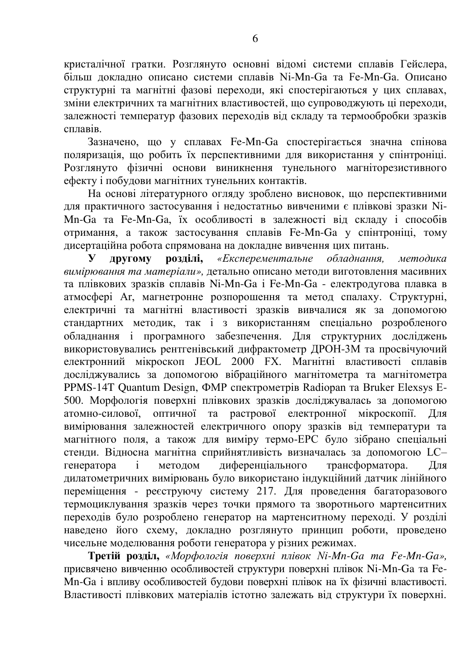кристалічної гратки. Розглянуто основні відомі системи сплавів Гейслера, бивш локладно описано системи сплавів Ni-Mn-Ga та Fe-Mn-Ga. Описано структурні та магнітні фазові переходи, які спостерігаються у цих сплавах, зміни електричних та магнітних властивостей, що супроводжують ці переходи, залежності температур фазових переходів від складу та термообробки зразків  $c$  $\pi$  $n$  $a$ <sub>B</sub> $i$ 

Зазначено, що у сплавах Fe-Mn-Ga спостерігається значна спінова поляризація, що робить їх перспективними для використання у спінтроніці. Розглянуто фізичні основи виникнення тунельного магніторезистивного ефекту і побудови магнітних тунельних контактів.

На основі літературного огляду зроблено висновок, що перспективними для практичного застосування і недостатньо вивченими є плівкові зразки Ni-Mn-Ga та Fe-Mn-Ga, їх особливості в залежності від складу і способів отримання, а також застосування сплавів Fe-Mn-Ga у спінтроніці, тому дисертаційна робота спрямована на докладне вивчення цих питань.

**у другому розділі,** «*Експерементальне обладнання, методика* вимірювання та матеріали», детально описано методи виготовлення масивних та плівкових зразків сплавів Ni-Mn-Ga і Fe-Mn-Ga - електродугова плавка в атмосфері Аг, магнетронне розпорошення та метод спалаху. Структурні, електричні та магнітні властивості зразків вивчалися як за допомогою cтандартних методик, так i з використанням спеціально розробленого обладнання і програмного забезпечення. Для структурних досліджень використовувались рентгенівський дифрактометр ДРОН-3М та просвічуючий eлектронний мікроскоп JEOL 2000 FX. Магнітні властивості сплавів досліджувались за допомогою вібраційного магнітометра та магнітометра PPMS-14T Quantum Design, ΦMP спектрометрів Radiopan та Bruker Elexsys E-500. Морфологія поверхні плівкових зразків досліджувалась за допомогою атомно-силової оптичної та растрової електронної мікроскопії. Лля вимірювання залежностей електричного опору зразків від температури та магнітного поля, а також для виміру термо-ЕРС було зібрано спеціальні стенди. Відносна магнітна сприйнятливість визначалась за допомогою LC-<br>генератора і методом диференціального трансформатора. Для генератора і методом диференціального трансформатора. Для дилатометричних вимірювань було використано індукційний датчик лінійного переміщення - реєструючу систему 217. Для проведення багаторазового термоциклування зразків через точки прямого та зворотнього мартенситних переходів було розроблено генератор на мартенситному переході. У розділі наведено його схему, докладно розглянуто принцип роботи, проведено чисельне моделювання роботи генератора у різних режимах.

**Ɍɪɟɬɿɣ ɪɨɡɞɿɥ,** *«Ɇɨɪɮɨɥɨɝіɹ ɩɨɜɟɪɯɧі ɩɥіɜɨɤ Ni-Mn-Ga ɬɚ Fe-Mn-Ga»,* присвячено вивченню особливостей структури поверхні плівок Ni-Mn-Ga та Fe-Mn-Ga і впливу особливостей будови поверхні плівок на їх фізичні властивості. Властивості плівкових матеріалів істотно залежать від структури їх поверхні.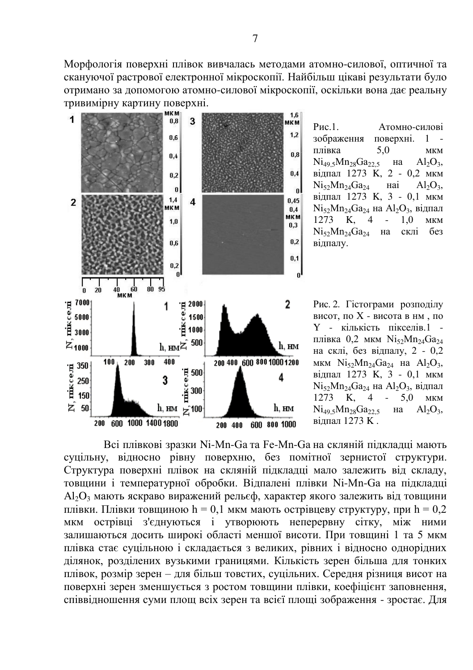Морфологія поверхні плівок вивчалась методами атомно-силової, оптичної та скануючої растрової електронної мікроскопії. Найбільш цікаві результати було отримано за допомогою атомно-силової мікроскопії, оскільки вона дає реальну тривимірну картину поверхні.



Рис.1. Атомно-силові зображення поверхні. 1 плівка  $5.0$  мкм  $Ni_{49.5}Mn_{28}Ga_{22.5}$  Ha  $Al_2O_3$ .  $\overline{B}$ илпал 1273 K, 2 - 0,2 мкм Ni<sub>52</sub>Mn<sub>24</sub>Ga<sub>24</sub> Hai  $Al_2O_2$ . відпал 1273 К, 3 - 0,1 мкм  $Ni<sub>52</sub>Mn<sub>24</sub>Ga<sub>24</sub>$  на  $Al<sub>2</sub>O<sub>3</sub>$ , відпал  $1273$  K, 4 - 1,0 MKM<br>Ni<sub>s</sub> Mn<sub>24</sub> Ga<sub>24</sub> ha ckill <u>6</u>e3  $N$ i<sub>52</sub> $Mn_{24}Ga_{24}$   $_{\text{Ha}}$ відпалу.

Рис. 2. Гістограми розподілу висот, по  $X$  - висота в нм, по Y - кількість пікселів 1 плівка 0,2 мкм  $N_i$ <sub>52</sub> $Mn_{24}Ga_{24}$ на склі, без відпалу, 2 - 0,2 MKM  $Ni_{52}Mn_{24}Ga_{24}$  Ha  $Al_2O_3$ , вілпал 1273 K, 3 - 0,1 мкм  $Ni<sub>52</sub>Mn<sub>24</sub>Ga<sub>24</sub>$  на  $Al<sub>2</sub>O<sub>3</sub>$ , відпал 1273 K, 4 - 5,0 MKM  $Ni<sub>49</sub>5Mn<sub>28</sub>Ga<sub>22</sub>5 Ha$  $Al_2O_3$ . вілпал 1273 K.

Всі плівкові зразки Ni-Mn-Ga та Fe-Mn-Ga на скляній підкладці мають суцільну, відносно рівну поверхню, без помітної зернистої структури. Структура поверхні плівок на скляній підкладці мало залежить від складу, товщини і температурної обробки. Відпалені плівки Ni-Mn-Ga на підкладці Al<sub>2</sub>O<sub>3</sub> мають яскраво виражений рельєф, характер якого залежить від товщини плівки. Плівки товщиною  $h = 0,1$  мкм мають острівцеву структуру, при  $h = 0,2$ мкм острівці з'єднуються і утворюють неперервну сітку, між ними залишаються досить широкі області меншої висоти. При товщині 1 та 5 мкм плівка стає суцільною і складається з великих, рівних і відносно однорідних ділянок, розділених вузькими границями. Кількість зерен більша для тонких плівок, розмір зерен – для більш товстих, суцільних. Середня різниця висот на поверхні зерен зменшується з ростом товщини плівки, коефіцієнт заповнення, співвідношення суми площ всіх зерен та всієї площі зображення - зростає. Для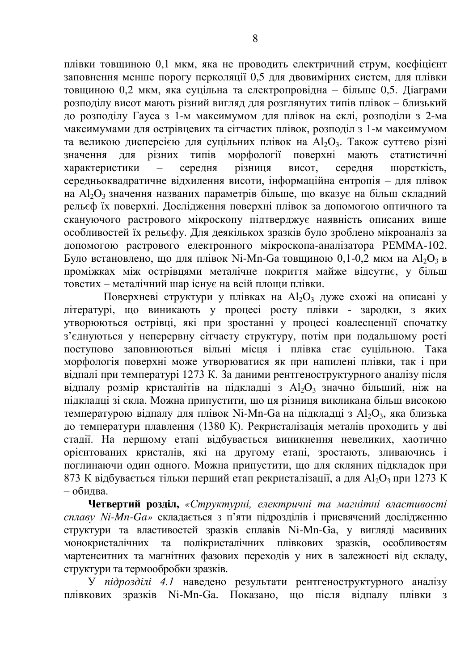плівки товщиною 0,1 мкм, яка не проводить електричний струм, коефіцієнт заповнення менше порогу перколяції 0,5 для двовимірних систем, для плівки товщиною 0,2 мкм, яка суцільна та електропровідна – більше 0,5. Діаграми розподілу висот мають різний вигляд для розглянутих типів плівок – близький до розподілу Гауса з 1-м максимумом для плівок на склі, розподіли з 2-ма максимумами для острівцевих та сітчастих плівок, розподіл з 1-м максимумом та великою дисперсією для суцільних плівок на Al<sub>2</sub>O<sub>3</sub>. Також суттєво різні значення для різних типів морфології поверхні мають статистичні морфології поверхні мають характеристики – середня різниця висот, середня шорсткість, середньоквадратичне відхилення висоти, інформаційна ентропія – для плівок на Al<sub>2</sub>O<sub>3</sub> значення названих параметрів більше, що вказує на більш складний рельєф їх поверхні. Дослідження поверхні плівок за допомогою оптичного та • скануючого растрового мікроскопу підтверджує наявність описаних вище особливостей їх рельєфу. Для деякількох зразків було зроблено мікроаналіз за допомогою растрового електронного мікроскопа-аналізатора РЕММА-102. Було встановлено, що для плівок Ni-Mn-Ga товщиною 0,1-0,2 мкм на Al<sub>2</sub>O<sub>3</sub> в проміжках між острівцями металічне покриття майже відсутнє, у більш  $\overline{1}$ овстих – металічний шар існує на всій площи плівки.

Поверхневі структури у плівках на  $Al_2O_3$  дуже схожі на описані у літературі, що виникають у процесі росту плівки - зародки, з яких утворюються острівці, які при зростанні у процесі коалесценції спочатку з'єднуються у неперервну сітчасту структуру, потім при подальшому рості поступово заповнюються вільні місця і плівка стає суцільною. Така морфологія поверхні може утворюватися як при напилені плівки, так і при відпалі при температурі 1273 К. За даними рентгеноструктурного аналізу після відпалу розмір кристалітів на підкладці з  $Al_2O_3$  значно більший, ніж на підкладці зі скла. Можна припустити, що ця різниця викликана більш високою температурою відпалу для плівок Ni-Mn-Ga на підкладці з Al<sub>2</sub>O<sub>3</sub>, яка близька до температури плавлення (1380 К). Рекристалізація металів проходить у дві стадії. На першому етапі відбувається виникнення невеликих, хаотично **орієнтованих кристалів**, які на другому етапі, зростають, зливаючись і ɩɨɝɥɢɧɚɸɱɢ ɨɞɢɧ ɨɞɧɨɝɨ. Ɇɨɠɧɚ ɩɪɢɩɭɫɬɢɬɢ, ɳɨ ɞɥɹ ɫɤɥɹɧɢɯ ɩɿɞɤɥɚɞɨɤ ɩɪɢ 873 К відбувається тільки перший етап рекристалізації, а для  $\text{Al}_2\text{O}_3$  при 1273 К  $-$  обилва.

Четвертий розділ, «Структурні, електричні та магнітні властивості сплаву Ni-Mn-Ga» складається з п'яти підрозділів і присвячений дослідженню структури та властивостей зразків сплавів Ni-Mn-Ga, у вигляді масивних ионокристалічних та полікристалічних плівкових зразків, особливостям мартенситних та магнітних фазових переходів у них в залежності від складу, структури та термообробки зразків.

У підрозділі 4.1 наведено результати рентгеноструктурного аналізу плівкових зразків Ni-Mn-Ga. Показано, що після відпалу плівки з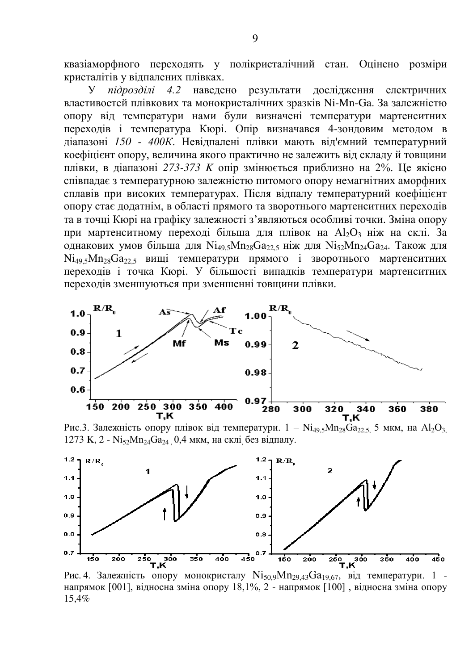квазіаморфного переходять у полікристалічний стан. Оцінено розміри кристалітів у вілпалених плівках.

У підрозділі 4.2 наведено результати дослідження електричних властивостей плівкових та монокристалічних зразків Ni-Mn-Ga. За залежністю опору від температури нами були визначені температури мартенситних переходів і температура Кюрі. Опір визначався 4-зондовим методом в діапазоні 150 - 400К. Невідпалені плівки мають від'ємний температурний коефіцієнт опору, величина якого практично не залежить від складу й товщини плівки, в діапазоні 273-373 K опір змінюється приблизно на 2%. Це якісно співпадає з температурною залежністю питомого опору немагнітних аморфних сплавів при високих температурах. Після відпалу температурний коефіцієнт опору стає додатнім, в області прямого та зворотнього мартенситних переходів та в точці Кюрі на графіку залежності з'являються особливі точки. Зміна опору при мартенситному переході більша для плівок на  $Al_2O_3$  ніж на склі. За однакових умов більша для  $Ni_{49,5}Mn_{28}Ga_{22,5}$  ніж для  $Ni_{52}Mn_{24}Ga_{24}$ . Також для  $Ni<sub>495</sub>Mn<sub>28</sub>Ga<sub>225</sub>$  вищі температури прямого і зворотнього мартенситних переходів і точка Кюрі. У більшості випадків температури мартенситних переходів зменшуються при зменшенні товщини плівки.



Рис.3. Залежність опору плівок від температури. 1 – Ni<sub>49,5</sub>Mn<sub>28</sub>Ga<sub>22,5,</sub> 5 мкм, на Al<sub>2</sub>O<sub>3,</sub> 1273 K, 2 - Ni<sub>52</sub>Mn<sub>24</sub>Ga<sub>24</sub> 0,4 мкм, на склі без відпалу.



Рис. 4. Залежність опору монокристалу Ni<sub>50,9</sub>Mn<sub>29,43</sub>Ga<sub>19,67</sub>, від температури. 1 напрямок [001], відносна зміна опору 18,1%, 2 - напрямок [100], відносна зміна опору 15,4%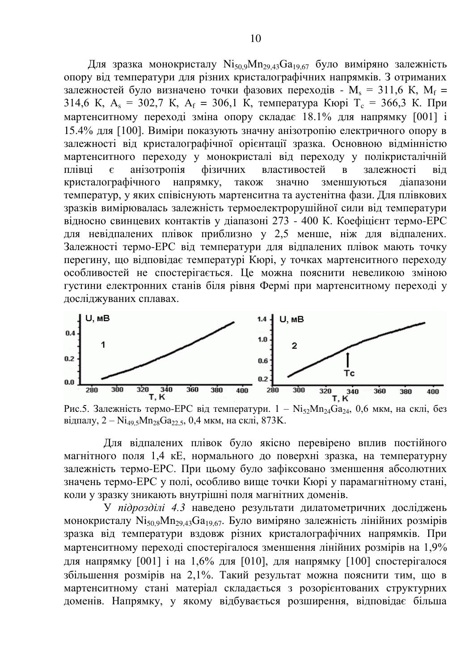Для зразка монокристалу Ni<sub>50.9</sub>Mn<sub>29.43</sub>Ga<sub>19.67</sub> було виміряно залежність опору від температури для різних кристалографічних напрямків. З отриманих залежностей було визначено точки фазових переходів -  $M_s = 311.6$  K,  $M_f =$ 314,6 K, A<sub>s</sub> = 302,7 K, A<sub>f</sub> = 306,1 K, температура Кюрі Т<sub>c</sub> = 366,3 К. При мартенситному переході зміна опору складає 18.1% для напрямку [001] і 15.4% для [100]. Виміри показують значну анізотропію електричного опору в залежності від кристалографічної орієнтації зразка. Основною відмінністю мартенситного переходу у монокристалі від переходу у полікристалічній плівці є анізотропія фізичних властивостей в залежності від кристалографічного напрямку, також значно зменшуються діапазони температур, у яких співіснують мартенситна та аустенітна фази. Для плівкових зразків вимірювалась залежність термоелектрорушійної сили від температури відносно свинцевих контактів у діапазоні 273 - 400 К. Коефіцієнт термо-ЕРС для невідпалених плівок приблизно у 2,5 менше, ніж для відпалених. Залежності термо-ЕРС від температури для відпалених плівок мають точку перегину, що відповідає температурі Кюрі, у точках мартенситного переходу особливостей не спостерігається. Це можна пояснити невеликою зміною густини електронних станів біля рівня Фермі при мартенситному переході у иослілжуваних сплавах.



Рис.5. Залежність термо-ЕРС від температури.  $1 - \text{Ni}_{52} \text{Mn}_{24} \text{Ga}_{24}$ , 0,6 мкм, на склі, без відпалу, 2 – Ni<sub>49,5</sub>Mn<sub>28</sub>Ga<sub>22,5</sub>, 0,4 мкм, на склі, 873K.

Для відпалених плівок було якісно перевірено вплив постійного магнітного поля 1,4 кЕ, нормального до поверхні зразка, на температурну залежність термо-ЕРС. При цьому було зафіксовано зменшення абсолютних значень термо-ЕРС у полі, особливо вище точки Кюрі у парамагнітному стані, коли у зразку зникають внутрішні поля магнітних доменів.

У підрозділі 4.3 наведено результати дилатометричних досліджень монокристалу Ni<sub>50,9</sub>Mn<sub>29,43</sub>Ga<sub>19,67</sub>. Було виміряно залежність лінійних розмірів зразка від температури вздовж різних кристалографічних напрямків. При мартенситному переході спостерігалося зменшення лінійних розмірів на 1,9% для напрямку [001] і на 1.6% для [010], для напрямку [100] спостерігалося збільшення розмірів на 2,1%. Такий результат можна пояснити тим, що в мартенситному стані матеріал складається з розорієнтованих структурних доменів. Напрямку, у якому відбувається розширення, відповідає більша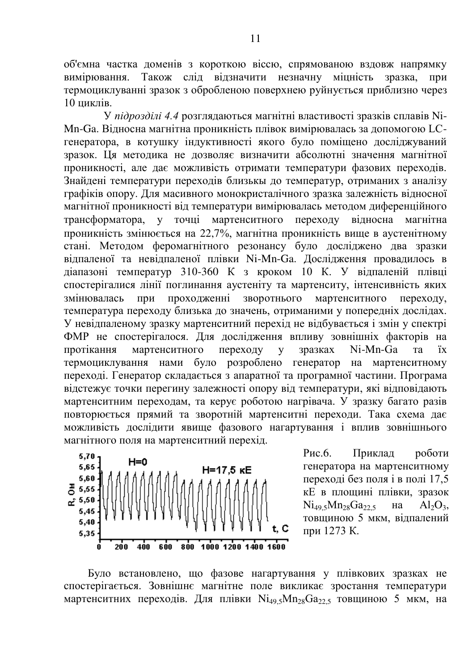об'ємна частка доменів з короткою віссю, спрямованою вздовж напрямку вимірювання. Також слід вілзначити незначну міцність зразка, при термоциклуванні зразок з обробленою поверхнею руйнується приблизно через  $10 \overline{u}$ 

У підрозділі 4.4 розглядаються магнітні властивості зразків сплавів Ni-Mn-Ga. Відносна магнітна проникність плівок вимірювалась за допомогою LCгенератора, в котушку індуктивності якого було поміщено досліджуваний зразок. Ця методика не дозволяє визначити абсолютні значення магнітної проникності, але дає можливість отримати температури фазових переходів. Знайдені температури переходів близькы до температур, отриманих з аналізу графіків опору. Для масивного монокристалічного зразка залежність відносної магнітної проникності від температури вимірювалась методом диференційного трансформатора, у точці мартенситного переходу відносна магнітна трансформатора, у точці мартенситного переходу відносна магнітна проникність змінюється на 22,7%, магнітна проникність вище в аустенітному стані. Методом феромагнітного резонансу було досліджено два зразки відпаленої та невідпаленої плівки Ni-Mn-Ga. Дослідження провадилось в діапазоні температур 310-360 К з кроком 10 К. У відпаленій плівці спостерігалися лінії поглинання аустеніту та мартенситу, інтенсивність яких<br>змінювалась при проходженні зворотнього мартенситного переходу. змінювалась при прохолженні зворотнього мартенситного перехолу, температура переходу близька до значень, отриманими у попередніх дослідах. У невідпаленому зразку мартенситний перехід не відбувається і змін у спектрі ФМР не спостерігалося. Для лослілження впливу зовнішніх факторів на протікання мартенситного переходу у зразках Ni-Mn-Ga та їх термоциклування нами було розроблено генератор на мартенситному переході. Генератор складається з апаратної та програмної частини. Програма відстежує точки перегину залежності опору від температури, які відповідають мартенситним переходам, та керує роботою нагрівача. У зразку багато разів повторюється прямий та зворотній мартенситні переходи. Така схема дає можливість дослідити явище фазового нагартування і вплив зовнішнього магнітного поля на мартенситний перехід.



Рис.6. Приклад роботи генератора на мартенситному переході без поля і в полі 17,5 кЕ в плошині плівки, зразок  $Ni<sub>495</sub>Mn<sub>28</sub>Ga<sub>225</sub>$   $Ha$   $Al<sub>2</sub>O<sub>3</sub>$ , товщиною 5 мкм, відпалений при 1273 К.

Було встановлено, що фазове нагартування у плівкових зразках не спостерігається. Зовнішнє магнітне поле викликає зростання температури мартенситних переходів. Для плівки  $Ni_{49}$ <sub>5</sub> $Mn_{28}Ga_{22}$ , товщиною 5 мкм, на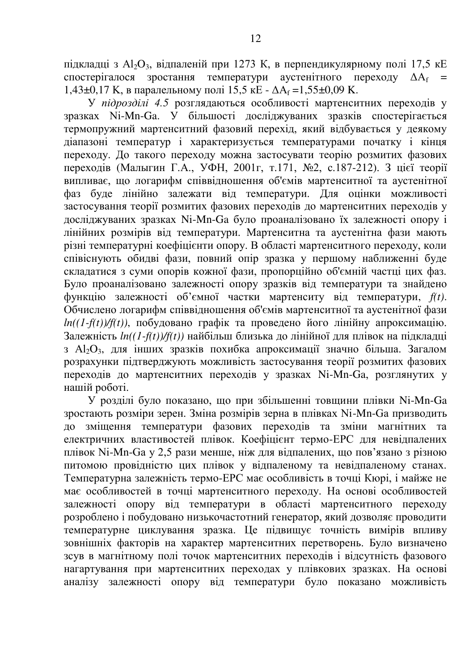підкладці з Al<sub>2</sub>O<sub>3</sub>, відпаленій при 1273 К, в перпендикулярному полі 17,5 кЕ спостерігалося зростання температури аустенітного переходу  $\Delta A_f$  = 1,43±0,17 К, в паралельному полі 15,5 кЕ -  $\Delta A_f = 1,55 \pm 0,09$  К.

У підрозділі 4.5 розглядаються особливості мартенситних переходів у зразках Ni-Mn-Ga. У більшості досліджуваних зразків спостерігається термопружний мартенситний фазовий перехід, який відбувається у деякому діапазоні температур і характеризується температурами початку і кінця переходу. До такого переходу можна застосувати теорію розмитих фазових переходів (Малыгин Г.А., УФН, 2001г, т.171, №2, с.187-212). З цієї теорії випливає, що логарифм співвідношення об'ємів мартенситної та аустенітної фаз буде лінійно залежати від температури. Для оцінки можливості •<br>застосування теорії розмитих фазових переходів до мартенситних переходів у досліджуваних зразках Ni-Mn-Ga було проаналізовано їх залежності опору і лінійних розмірів від температури. Мартенситна та аустенітна фази мають різні температурні коефіцієнти опору. В області мартенситного переходу, коли співіснують обидві фази, повний опір зразка у першому наближенні буде складатися з суми опорів кожної фази, пропорційно об'ємній частці цих фаз. Було проаналізовано залежності опору зразків від температури та знайдено функцію залежності об'ємної частки мартенситу від температури, *f(t)*. Обчислено логарифм співвідношення об'ємів мартенситної та аустенітної фази  $ln((1-f(t))/f(t))$ , побудовано графік та проведено його лінійну апроксимацію. Залежність  $ln((1-f(t))/f(t))$  найбільш близька до лінійної для плівок на підкладці з Al<sub>2</sub>O<sub>3</sub>, для інших зразків похибка апроксимації значно більша. Загалом розрахунки підтверджують можливість застосування теорії розмитих фазових переходів до мартенситних переходів у зразках Ni-Mn-Ga, розглянутих у нашій роботі.

У розділі було показано, що при збільшенні товщини плівки Ni-Mn-Ga зростають розміри зерен. Зміна розмірів зерна в плівках Ni-Mn-Ga призводить до зміщення температури фазових переходів та зміни магнітних та електричних властивостей плівок. Коефіцієнт термо-ЕРС для невідпалених плівок Ni-Mn-Ga у 2,5 рази менше, ніж для відпалених, що пов'язано з різною питомою провідністю цих плівок у відпаленому та невідпаленому станах. Температурна залежність термо-ЕРС має особливість в точці Кюрі, і майже не має особливостей в точці мартенситного переходу. На основі особливостей залежності опору від температури в області мартенситного переходу розроблено і побудовано низькочастотний генератор, який дозволяє проводити ълицературне циклування зразка. Це підвищує точність вимірів впливу зовнішніх факторів на характер мартенситних перетворень. Було визначено зсув в магнітному полі точок мартенситних переходів і відсутність фазового нагартування при мартенситних переходах у плівкових зразках. На основі аналізу залежності опору від температури було показано можливість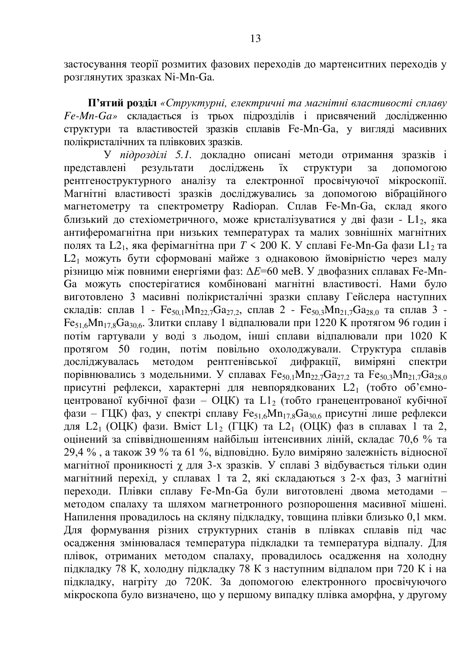застосування теорії розмитих фазових переходів до мартенситних переходів у розглянутих зразках Ni-Mn-Ga.

П'ятий розділ «Структурні, електричні та магнітні властивості сплаву *Fe-Mn-Ga»* складається із трьох підрозділів і присвячений дослідженню структури та властивостей зразків сплавів Fe-Mn-Ga, у вигляді масивних полікристалічних та плівкових зразків.

У підрозділі 5.1. докладно описані методи отримання зразків і представлені результати досліджень їх структури за допомогою результати досліджень їх структури за допомогою **рентгеноструктурного аналізу та електронної просвічуючої мікроскопії.** Магнітні властивості зразків досліджувались за допомогою вібраційного магнетометру та спектрометру Radiopan. Сплав Fe-Mn-Ga, склад якого близький до стехіометричного, може кристалізуватися у дві фази - L12, яка антиферомагнітна при низьких температурах та малих зовнішніх магнітних полях та L2<sub>1</sub>, яка ферімагнітна при  $T \le 200$  К. У сплаві Fe-Mn-Ga фази L1<sub>2</sub> та L2<sub>1</sub> можуть бути сформовані майже з однаковою ймовірністю через малу різницю між повними енергіями фаз: Δ*Ε*=60 меВ. У двофазних сплавах Fe-Mn-Ga можуть спостерігатися комбіновані магнітні властивості. Нами було виготовлено 3 масивні полікристалічні зразки сплаву Гейслера наступних складів: сплав 1 -  $Fe_{50,1}Mn_{22,7}Ga_{27,2}$ , сплав 2 -  $Fe_{50,3}Mn_{21,7}Ga_{28,0}$  та сплав 3 - $Fe<sub>51.6</sub>Mn<sub>17.8</sub>Ga<sub>30.6</sub>$ . Злитки сплаву 1 відпалювали при 1220 К протягом 96 годин і потім гартували у воді з льодом, інші сплави відпалювали при 1020 К протягом 50 годин, потім повільно охолоджували. Структура сплавів досліджувалась методом рентгенівської дифракції, виміряні спектри досліджувалась методом рентгенівської дифракції, виміряні спектри порівнювались з модельними. У сплавах  $Fe_{50,1}Mn_{22,7}Ga_{27,2}$  та  $Fe_{50,3}Mn_{21,7}Ga_{28,0}$ присутні рефлекси, характерні для невпорядкованих L21 (тобто об'ємноцентрованої кубічної фази – ОЦК) та L12 (тобто гранецентрованої кубічної фази –  $\Gamma$ ЦК) фаз, у спектрі сплаву  $Fe_{51.6}Mn_{17.8}Ga_{30.6}$  присутні лише рефлекси для L2<sub>1</sub> (ОЦК) фази. Вміст L1<sub>2</sub> (ГЦК) та L2<sub>1</sub> (ОЦК) фаз в сплавах 1 та 2, оцінений за співвідношенням найбільш інтенсивних ліній, складає 70,6 % та 29,4 %, а також 39 % та 61 %, відповідно. Було виміряно залежність відносної магнітної проникності у для 3-х зразків. У сплаві 3 відбувається тільки один магнітний перехід, у сплавах 1 та 2, які складаються з 2-х фаз, 3 магнітні переходи. Плівки сплаву Fe-Mn-Ga були виготовлені двома методами методом спалаху та шляхом магнетронного розпорошення масивної мішені. Напилення провадилось на скляну підкладку, товщина плівки близько 0,1 мкм. Для формування різних структурних станів в плівках сплавів під час осадження змінювалася температура підкладки та температура відпалу. Для плівок, отриманих методом спалаху, провадилось осадження на холодну підкладку 78 К, холодну підкладку 78 К з наступним відпалом при 720 К і на підкладку, нагріту до 720К. За допомогою електронного просвічуючого мікроскопа було визначено, що у першому випадку плівка аморфна, у другому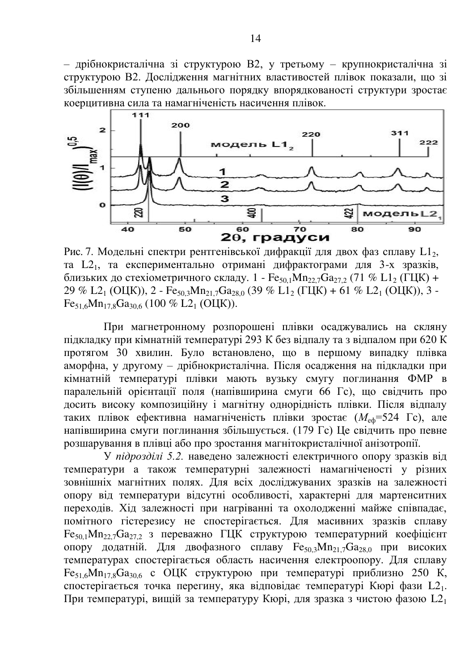– дрібнокристалічна зі структурою В2, у третьому – крупнокристалічна зі структурою В2. Дослідження магнітних властивостей плівок показали, що зі збільшенням ступеню дальнього порядку впорядкованості структури зростає коерцитивна сила та намагніченість насичення плівок.



Рис. 7. Модельні спектри рентгенівської дифракції для двох фаз сплаву L1<sub>2</sub>, та L<sub>21</sub>, та експериментально отримані дифрактограми для 3-х зразків, близьких до стехіометричного складу. 1 - Fe<sub>50 1</sub>Mn<sub>22</sub>, Ga<sub>272</sub> (71 % L1<sub>2</sub> (ГЦК) +  $29\%$  L<sub>21</sub> (O<sub>I</sub>K)),  $2 - Fe_{503}Mn_{217}Ga_{28,0}$  (39 % L<sub>12</sub> ( $\Gamma$ IIK) + 61 % L<sub>2<sub>1</sub></sub> (O<sub>I</sub>K)),  $3 Fe_{51.6}Mn_{17.8}Ga_{30.6}$  (100 % L<sub>21</sub> (O<sub>I</sub>K)).

При магнетронному розпорошені плівки осаджувались на скляну підкладку при кімнатній температурі 293 К без відпалу та з відпалом при 620 К протягом 30 хвилин. Було встановлено, що в першому випадку плівка аморфна, у другому – дрібнокристалічна. Після осадження на підкладки при кімнатній температурі плівки мають вузьку смугу поглинання ФМР в паралельній орієнтації поля (напівширина смуги 66 Гс), що свідчить про досить високу композиційну і магнітну однорідність плівки. Після відпалу таких плівок ефективна намагніченість плівки зростає ( $M_{\text{eff}}$ =524 Гс), але напівширина смуги поглинання збільшується. (179 Гс) Це свідчить про певне розшарування в плівці або про зростання магнітокристалічної анізотропії.

У підрозділі 5.2. наведено залежності електричного опору зразків від температури а також температурні залежності намагніченості у різних зовнішніх магнітних полях. Для всіх досліджуваних зразків на залежності опору від температури відсутні особливості, характерні для мартенситних переходів. Хід залежності при нагріванні та охолодженні майже співпадає, помітного гістерезису не спостерігається. Для масивних зразків сплаву  $Fe<sub>50.1</sub>Mn<sub>22.7</sub>Ga<sub>27.2</sub>$  з переважно ГЦК структурою температурний коефіцієнт опору додатній. Для двофазного сплаву  $Fe_{50,3}Mn_{21,7}Ga_{28,0}$  при високих температурах спостерігається область насичення електроопору. Для сплаву  $Fe_{51.6}Mn_{17.8}Ga_{30.6}$  c OЦK структурою при температурі приблизно 250 К, cпостерігається точка перегину, яка відповідає температурі Кюрі фази L21. При температурі, вищій за температуру Кюрі, для зразка з чистою фазою  $L2_1$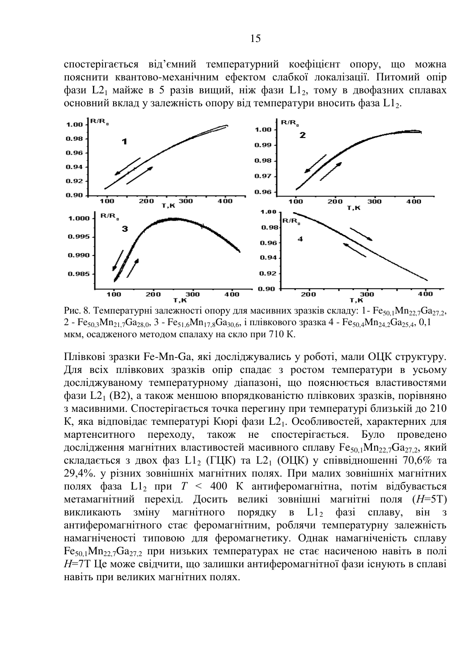спостерігається від'ємний температурний коефіцієнт опору, що можна пояснити квантово-механічним ефектом слабкої локалізації. Питомий опір  $\theta$ ази L2<sub>1</sub> майже в 5 разів вищий, ніж  $\theta$ ази L1<sub>2</sub>, тому в двофазних сплавах основний вклад у залежність опору від температури вносить фаза L1,



Рис. 8. Температурні залежності опору для масивних зразків складу: 1- Fe<sub>50,1</sub>Mn<sub>22,7</sub>Ga<sub>27,2</sub>, 2 - Fe<sub>50,3</sub>Mn<sub>21,7</sub>Ga<sub>28,0</sub>, 3 - Fe<sub>51,6</sub>Mn<sub>17,8</sub>Ga<sub>30,6</sub>, i плівкового зразка 4 - Fe<sub>50,4</sub>Mn<sub>24,2</sub>Ga<sub>25,4</sub>, 0,1 мкм, осадженого методом спалаху на скло при 710 К.

Плівкові зразки Fe-Mn-Ga, які досліджувались у роботі, мали ОЦК структуру. Для всіх плівкових зразків опір спадає з ростом температури в усьому досліджуваному температурному діапазоні, що пояснюється властивостями фази L2<sub>1</sub> (B2), а також меншою впорядкованістю плівкових зразків, порівняно з масивними. Спостерігається точка перегину при температурі близькій до 210 К, яка відповідає температурі Кюрі фази L21. Особливостей, характерних для мартенситного переходу, також не спостерігається. Було проведено мартенситного переходу, також не спостерігається. Було проведено дослідження магнітних властивостей масивного сплаву  $Fe_{50,1}Mn_{22}$ ,  $Ga_{27,2}$ , який складається з двох фаз L1<sub>2</sub> (ГЦК) та L2<sub>1</sub> (ОЦК) у співвідношенні 70,6% та 29,4%. у різних зовнішніх магнітних полях. При малих зовнішніх магнітних полях фаза L1<sub>2</sub> при  $T < 400$  К антиферомагнітна, потім відбувається метамагнітний перехід. Досить великі зовнішні магнітні поля (H=5T) викликають зміну магнітного порядку в  $L1<sub>2</sub>$  фазі сплаву, він з антиферомагнітного стає феромагнітним, роблячи температурну залежність намагніченості типовою для феромагнетику. Однак намагніченість сплаву  $Fe<sub>50.1</sub>Mn<sub>22.7</sub>Ga<sub>27.2</sub>$  при низьких температурах не стає насиченою навіть в полі *Н*=7Т Це може свідчити, що залишки антиферомагнітної фази існують в сплаві навіть при великих магнітних полях.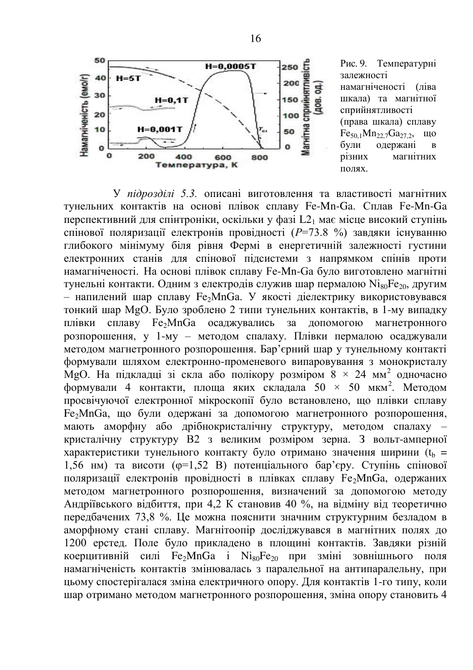

600

400

Температура, К

Намагніченість (емо/г)

 $\mathbf{o}$ 

200

Рис. 9. Температурні залежності намагніченості (ліва шкала) та магнітної сприйнятливості (права шкала) сплаву  $Fe_{50,1}Mn_{22,7}Ga_{27,2}$ , що<br>були олержані в були одержані в<br>різних магнітних магнітних  $\overline{u}$   $\alpha$ 

У підрозділі 5.3. описані виготовлення та властивості магнітних тунельних контактів на основі плівок сплаву Fe-Mn-Ga. Сплав Fe-Mn-Ga перспективний для спінтроніки, оскільки у фазі L2<sub>1</sub> має місце високий ступінь спінової поляризації електронів провідності (P=73.8 %) завдяки існуванню глибокого мінімуму біля рівня Фермі в енергетичній залежності густини електронних станів для спінової підсистеми з напрямком спінів проти намагніченості. На основі плівок сплаву Fe-Mn-Ga було виготовлено магнітні тунельні контакти. Одним з електродів служив шар пермалою  $N_i_{80}Fe_{20}$ , другим – напилений шар сплаву Fe<sub>2</sub>MnGa. У якості діелектрику використовувався тонкий шар МgO. Було зроблено 2 типи тунельних контактів, в 1-му випадку плівки сплаву Fe<sub>2</sub>MnGa осаджувались за допомогою магнетронного розпорошення. v 1-му – метолом спалаху. Плівки пермалою осалжували методом магнетронного розпорошення. Бар'єрний шар у тунельному контакті формували шляхом електронно-променевого випаровування з монокристалу МgО. На підкладці зі скла або полікору розміром  $8 \times 24$  мм<sup>2</sup> одночасно формували 4 контакти, площа яких складала 50 × 50 мкм<sup>2</sup>. Методом просвічуючої електронної мікроскопії було встановлено, що плівки сплаву Fe>MnGa, що були одержані за допомогою магнетронного розпорошення, мають аморфну або дрібнокристалічну структуру, методом спалаху – кристалічну структуру B2 з великим розміром зерна. З вольт-амперної  $x$ арактеристики тунельного контакту було отримано значення ширини  $(t<sub>h</sub> =$ 1,56 нм) та висоти (ф=1,52 В) потенціального бар'єру. Ступінь спінової поляризації електронів провідності в плівках сплаву Fe<sub>2</sub>MnGa, одержаних метолом магнетронного розпорошення, визначений за лопомогою метолу Андріївського відбиття, при 4,2 К становив 40 %, на відміну від теоретично передбачених 73,8 %. Це можна пояснити значним структурним безладом в аморфному стані сплаву. Магнітоопір досліджувався в магнітних полях до 1200 ерстед. Поле було прикладено в площині контактів. Завдяки різній коерцитивній силі  $Fe\cdot MnGa$  і  $Nis_0Fe_{20}$  при зміні зовнішнього поля намагніченість контактів змінювалась з паралельної на антипаралельну, при цьому спостерігалася зміна електричного опору. Для контактів 1-го типу, коли шар отримано методом магнетронного розпорошення, зміна опору становить 4

800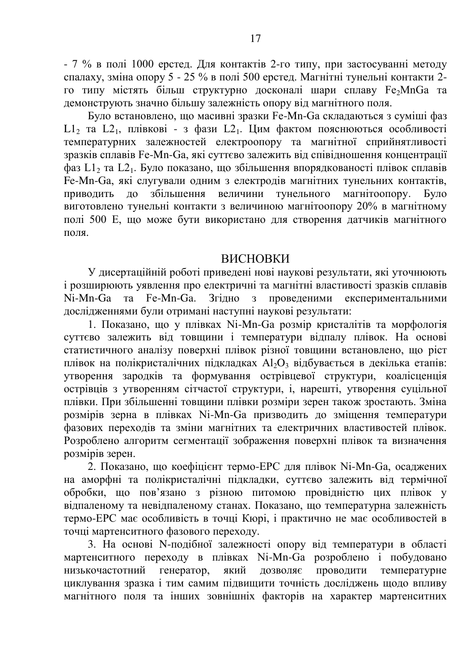- 7 % в полі 1000 ерстед. Для контактів 2-го типу, при застосуванні методу спалаху, зміна опору 5 - 25 % в полі 500 ерстел. Магнітні тунельні контакти 2го типу містять більш структурно досконалі шари сплаву Fe<sub>2</sub>MnGa та демонструють значно більшу залежність опору від магнітного поля.

Було встановлено, що масивні зразки Fe-Mn-Ga складаються з суміші фаз  $L1_2$  та  $L2_1$ , плівкові - з фази  $L2_1$ . Цим фактом пояснюються особливості температурних залежностей електроопору та магнітної сприйнятливості зразків сплавів Fe-Mn-Ga, які суттєво залежить від співідношення концентрації  $\dot{\phi}$ аз L1, та L21. Було показано, що збільшення впорядкованості плівок сплавів Fe-Mn-Ga, які слугували одним з електродів магнітних тунельних контактів, приводить до збільшення величини тунельного магнітоопору. Було приводить до збільшення величини тунельного магнітоопору. Було **виготовлено тунельні контакти з величиною магнітоопору 20% в магнітному** полі 500 Е, що може бути використано для створення датчиків магнітного поля

### ВИСНОВКИ

У дисертаційній роботі приведені нові наукові результати, які уточнюють  $\overline{i}$ розширюють уявлення про електричні та магнітні властивості зразків сплавів<br>Ni-Mn-Ga та Fe-Mn-Ga. Згілно з провеленими експериментальними Згідно з проведеними експериментальними дослідженнями були отримані наступні наукові результати:

1. Показано, що у плівках Ni-Mn-Ga розмір кристалітів та морфологія суттєво залежить від товщини і температури відпалу плівок. На основі статистичного аналізу поверхні плівок різної товщини встановлено, що ріст плівок на полікристалічних підкладках Al<sub>2</sub>O<sub>3</sub> відбувається в декілька етапів: vтворення зародків та формування острівцевої структури, коалісценція •<br>• острівців з утворенням сітчастої структури, і, нарешті, утворення суцільної плівки. При збільшенні товщини плівки розміри зерен також зростають. Зміна розмірів зерна в плівках Ni-Mn-Ga призводить до зміщення температури фазових переходів та зміни магнітних та електричних властивостей плівок. Розроблено алгоритм сегментації зображення поверхні плівок та визначення розмірів зерен.

2. Показано, що коефіцієнт термо-ЕРС для плівок Ni-Mn-Ga, осаджених на аморфні та полікристалічні підкладки, суттєво залежить від термічної обробки, що пов'язано з різною питомою провідністю цих плівок у відпаленому та невідпаленому станах. Показано, що температурна залежність термо-ЕРС має особливість в точці Кюрі, і практично не має особливостей в точці мартенситного фазового переходу.

3. На основі N-подібної залежності опору від температури в області мартенситного переходу в плівках Ni-Mn-Ga розроблено і побудовано низькочастотний генератор, який дозволяє проводити температурне циклування зразка і тим самим підвищити точність досліджень щодо впливу магнітного поля та інших зовнішніх факторів на характер мартенситних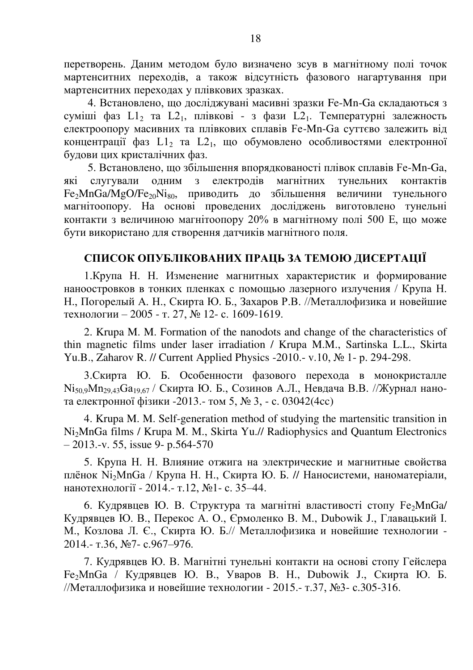перетворень. Даним методом було визначено зсув в магнітному полі точок мартенситних переходів, а також відсутність фазового нагартування при мартенситних переходах у плівкових зразках.

4. Встановлено, що досліджувані масивні зразки Fe-Mn-Ga складаються з суміші фаз  $L1_2$  та  $L2_1$ , плівкові - з фази  $L2_1$ . Температурні залежность електроопору масивних та плівкових сплавів Fe-Mn-Ga суттєво залежить від концентрації фаз  $L1_2$  та  $L2_1$ , що обумовлено особливостями електронної булови цих кристалічних фаз.

5. Встановлено, що збільшення впорядкованості плівок сплавів Fe-Mn-Ga, які слугували одним з електродів магнітних тунельних контактів  $Fe<sub>2</sub>MnGa/MgO/Fe<sub>20</sub>Ni<sub>80</sub>$  приводить до збільшення величини тунельного магнітоопору. На основі проведених досліджень виготовлено тунельні контакти з величиною магнітоопору 20% в магнітному полі 500 Е, що може бути використано для створення датчиків магнітного поля.

# СПИСОК ОПУБЛІКОВАНИХ ПРАЦЬ ЗА ТЕМОЮ ДИСЕРТАЦІЇ

1. Крупа Н. Н. Изменение магнитных характеристик и формирование наноостровков в тонких пленках с помощью лазерного излучения / Крупа Н. Н., Погорелый А. Н., Скирта Ю. Б., Захаров Р.В. //Металлофизика и новейшие технологии – 2005 - т. 27, № 12- с. 1609-1619.

2. Krupa M. M. Formation of the nanodots and change of the characteristics of thin magnetic films under laser irradiation / Krupa M.M., Sartinska L.L., Skirta Yu.B., Zaharov R. // Current Applied Physics -2010.- v.10, № 1- p. 294-298.

3. Скирта Ю. Б. Особенности фазового перехода в монокристалле  $Ni_{50.9}Mn_{29.43}Ga_{19.67}$  / Скирта Ю. Б., Созинов А.Л., Невдача В.В. //Журнал нанота електронної фізики -2013.- том 5, № 3, - с. 03042(4cc)

4. Krupa M. M. Self-generation method of studying the martensitic transition in Ni2MnGa films / Krupa M. M., Skirta Yu.// Radiophysics and Quantum Electronics  $-2013$ .-v. 55, issue 9- p.564-570

5. Крупа Н. Н. Влияние отжига на электрические и магнитные свойства плёнок Ni<sub>2</sub>MnGa / Крупа Н. Н., Скирта Ю. Б. // Наносистеми, наноматеріали, нанотехнології - 2014.- т.12, №1- с. 35–44.

6. Кудрявцев Ю. В. Структура та магнітні властивості стопу Fe<sub>2</sub>MnGa/ Kулрявцев Ю. В., Перекос А. О., Єрмоленко В. М., Dubowik J., Главацький I. М., Козлова Л. Є., Скирта Ю. Б.// Металлофизика и новейшие технологии -2014.- т.36, №7- с.967–976.

7. Кудрявцев Ю. В. Магнітні тунельні контакти на основі стопу Гейслера Fe<sub>2</sub>MnGa / Кудрявцев Ю. В., Уваров В. Н., Dubowik J., Скирта Ю. Б. //Металлофизика и новейшие технологии - 2015.- т.37, №3- с.305-316.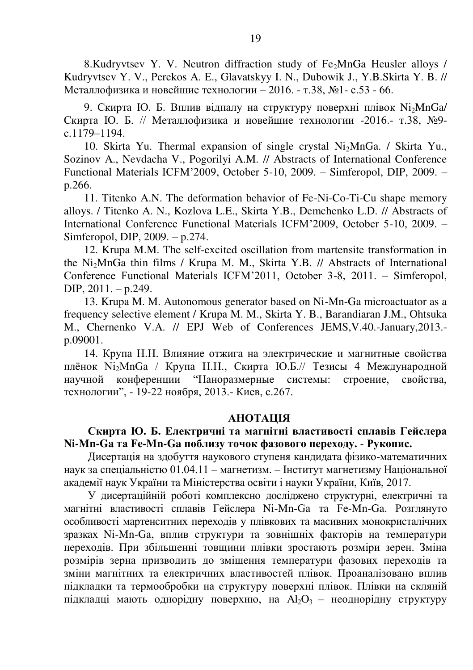8.Kudryvtsev Y. V. Neutron diffraction study of Fe<sub>2</sub>MnGa Heusler alloys / Kudryvtsev Y. V., Perekos A. E., Glavatskyy I. N., Dubowik J., Y.B.Skirta Y. B. // Металлофизика и новейшие технологии - 2016. - т.38, №1- с.53 - 66.

9. Скирта Ю. Б. Вплив відпалу на структуру поверхні плівок  $N_i$ MnGa/ Скирта Ю. Б. // Металлофизика и новейшие технологии -2016.- т.38, №9c.1179–1194.

10. Skirta Yu. Thermal expansion of single crystal  $Ni<sub>2</sub>MnGa$ . / Skirta Yu., Sozinov A., Nevdacha V., Pogorilyi A.M. // Abstracts of International Conference Functional Materials ICFM'2009, October 5-10, 2009. – Simferopol, DIP, 2009. – p.266.

11. Titenko A.N. The deformation behavior of Fe-Ni-Co-Ti-Cu shape memory alloys. / Titenko A. N., Kozlova L.E., Skirta Y.B., Demchenko L.D. // Abstracts of International Conference Functional Materials ICFM'2009, October 5-10, 2009. – Simferopol, DIP, 2009. – p.274.

12. Krupa M.M. The self-excited oscillation from martensite transformation in the Ni2MnGa thin films / Krupa M. M., Skirta Y.B. // Abstracts of International Conference Functional Materials ICFM'2011, October 3-8, 2011. – Simferopol, DIP, 2011. – p.249.

13. Krupa M. M. Autonomous generator based on Ni-Mn-Ga microactuator as a frequency selective element / Krupa M. M., Skirta Y. B., Barandiaran J.M., Ohtsuka M., Chernenko V.A. // EPJ Web of Conferences JEMS,V.40.-January,2013. p.09001.

14. Крупа Н.Н. Влияние отжига на электрические и магнитные свойства плёнок Ni<sub>2</sub>MnGa / Крупа Н.Н., Скирта Ю.Б.// Тезисы 4 Международной научной конференции "Наноразмерные системы: строение, свойства, технологии", - 19-22 ноября, 2013.- Киев, с.267.

#### **АНОТАЦІЯ**

### Скирта Ю. Б. Електричні та магнітні властивості сплавів Гейслера  $Ni-Mn-Ga$  **та Fe-Mn-Ga поблизу точок фазового переходу.** - Рукопис.

Дисертація на здобуття наукового ступеня кандидата фізико-математичних наук за спеціальністю 01.04.11 – магнетизм. – Інститут магнетизму Національної академії наук України та Міністерства освіти і науки України, Київ, 2017.

У дисертаційній роботі комплексно досліджено структурні, електричні та магнітні властивості сплавів Гейслера Ni-Mn-Ga та Fe-Mn-Ga. Розглянуто особливості мартенситних перехолів у плівкових та масивних монокристалічних зразках Ni-Mn-Ga, вплив структури та зовнішніх факторів на температури переходів. При збільшенні товщини плівки зростають розміри зерен. Зміна розмірів зерна призводить до зміщення температури фазових переходів та зміни магнітних та електричних властивостей плівок. Проаналізовано вплив підкладки та термообробки на структуру поверхні плівок. Плівки на скляній підкладці мають однорідну поверхню, на Аl<sub>2</sub>O<sub>3</sub> – неоднорідну структуру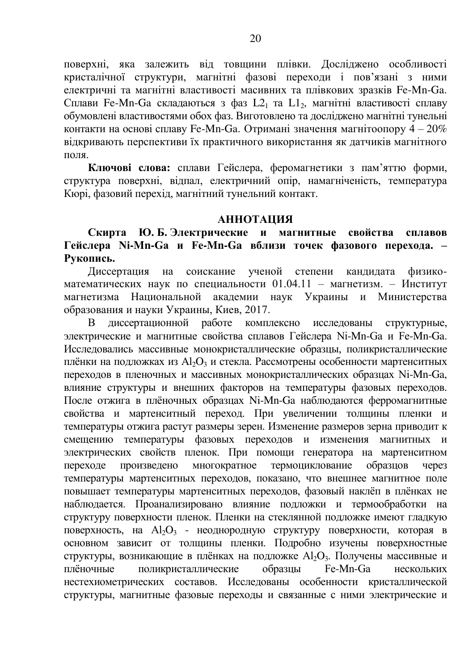поверхні, яка залежить від товщини плівки. Досліджено особливості кристалічної структури, магнітні фазові перехоли і пов'язані з ними eлектричні та магнітні властивості масивних та плівкових зразків Fe-Mn-Ga. Сплави Fe-Mn-Ga складаються з фаз L2<sub>1</sub> та L1<sub>2</sub>, магнітні властивості сплаву обумовлені властивостями обох фаз. Виготовлено та досліджено магнітні тунельні контакти на основі сплаву Fe-Mn-Ga. Отримані значення магнітоопору  $4-20\%$ відкривають перспективи їх практичного використання як датчиків магнітного  $n$ n $n \times n$ 

Ключові слова: сплави Гейслера, феромагнетики з пам'яттю форми, структура поверхні, відпал, електричний опір, намагніченість, температура Кюрі, фазовий перехід, магнітний тунельний контакт.

#### **АННОТАЦИЯ**

Скирта Ю.Б.Электрические и магнитные свойства сплавов Гейслера Ni-Mn-Ga и Fe-Mn-Ga вблизи точек фазового перехода. -Рукопись.

Диссертация на соискание ученой степени кандидата физикоматематических наук по специальности  $01.04.11$  – магнетизм. – Институт магнетизма Национальной академии наук Украины и Министерства образования и науки Украины, Киев, 2017.

В диссертационной работе комплексно исследованы структурные, электрические и магнитные свойства сплавов Гейслера Ni-Mn-Ga и Fe-Mn-Ga. Исследовались массивные монокристаллические образцы, поликристаллические плёнки на подложках из Аl<sub>2</sub>O<sub>3</sub> и стекла. Рассмотрены особенности мартенситных переходов в пленочных и массивных монокристаллических образцах Ni-Mn-Ga, влияние структуры и внешних факторов на температуры фазовых переходов. После отжига в плёночных образцах Ni-Mn-Ga наблюдаются ферромагнитные свойства и мартенситный переход. При увеличении толщины пленки и температуры отжига растут размеры зерен. Изменение размеров зерна приводит к смещению температуры фазовых переходов и изменения магнитных и электрических свойств пленок. При помощи генератора на мартенситном переходе произведено многократное термоциклование образцов через температуры мартенситных переходов, показано, что внешнее магнитное поле повышает температуры мартенситных переходов, фазовый наклёп в плёнках не наблюдается. Проанализировано влияние подложки и термообработки на структуру поверхности пленок. Пленки на стеклянной подложке имеют гладкую поверхность, на Al<sub>2</sub>O<sub>3</sub> - неоднородную структуру поверхности, которая в основном зависит от толщины пленки. Подробно изучены поверхностные структуры, возникающие в плёнках на подложке Al<sub>2</sub>O<sub>3</sub>. Получены массивные и плёночные и подложке форазцы Fe-Mn-Ga инескольких плёночные поликристаллические образцы Fe-Mn-Ga нескольких нестехиометрических составов. Исследованы особенности кристаллической структуры, магнитные фазовые переходы и связанные с ними электрические и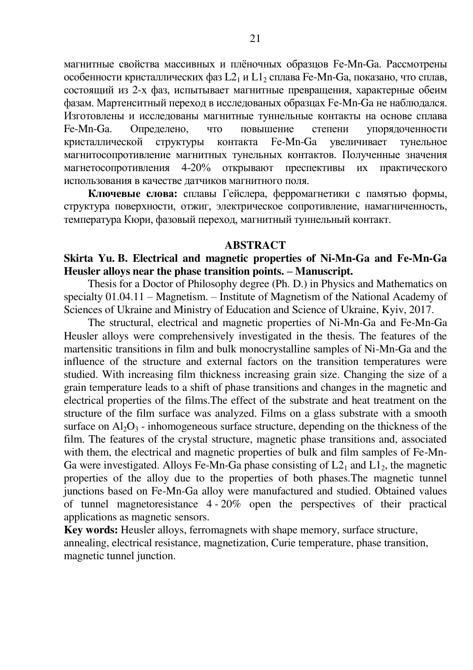магнитные свойства массивных и плёночных образцов Fe-Mn-Ga. Рассмотрены особенности кристаллических фаз L2<sub>1</sub> и L1<sub>2</sub> сплава Fe-Mn-Ga, показано, что сплав, состоящий из 2-х фаз, испытывает магнитные превращения, характерные обеим фазам. Мартенситный переход в исследованых образцах Fe-Mn-Ga не наблюдался. Изготовлены и исследованы магнитные туннельные контакты на основе сплава Fe-Mn-Ga. Определено, что повышение степени упорядоченности кристаллической структуры контакта Fe-Mn-Ga увеличивает тунельное магнитосопротивление магнитных тунельных контактов. Полученные значения магнетосопротивления 4-20% открывают преспективы их практического использования в качестве датчиков магнитного поля.

Ключевые слова: сплавы Гейслера, ферромагнетики с памятью формы, структура поверхности, отжиг, электрическое сопротивление, намагниченность, температура Кюри, фазовый переход, магнитный туннельный контакт.

#### **ABSTRACT**

#### **Skirta Yu. B. Electrical and magnetic properties of Ni-Mn-Ga and Fe-Mn-Ga Heusler alloys near the phase transition points. – Manuscript.**

Thesis for a Doctor of Philosophy degree (Ph. D.) in Physics and Mathematics on specialty 01.04.11 – Magnetism. – Institute of Magnetism of the National Academy of Sciences of Ukraine and Ministry of Education and Science of Ukraine, Kyiv, 2017.

The structural, electrical and magnetic properties of Ni-Mn-Ga and Fe-Mn-Ga Heusler alloys were comprehensively investigated in the thesis. The features of the martensitic transitions in film and bulk monocrystalline samples of Ni-Mn-Ga and the influence of the structure and external factors on the transition temperatures were studied. With increasing film thickness increasing grain size. Changing the size of a grain temperature leads to a shift of phase transitions and changes in the magnetic and electrical properties of the films.The effect of the substrate and heat treatment on the structure of the film surface was analyzed. Films on a glass substrate with a smooth surface on  $A_1O_3$  - inhomogeneous surface structure, depending on the thickness of the film. The features of the crystal structure, magnetic phase transitions and, associated with them, the electrical and magnetic properties of bulk and film samples of Fe-Mn-Ga were investigated. Alloys Fe-Mn-Ga phase consisting of  $L2<sub>1</sub>$  and  $L1<sub>2</sub>$ , the magnetic properties of the alloy due to the properties of both phases.The magnetic tunnel junctions based on Fe-Mn-Ga alloy were manufactured and studied. Obtained values of tunnel magnetoresistance 4 - 20% open the perspectives of their practical applications as magnetic sensors.

**Key words:** Heusler alloys, ferromagnets with shape memory, surface structure, annealing, electrical resistance, magnetization, Curie temperature, phase transition, magnetic tunnel junction.